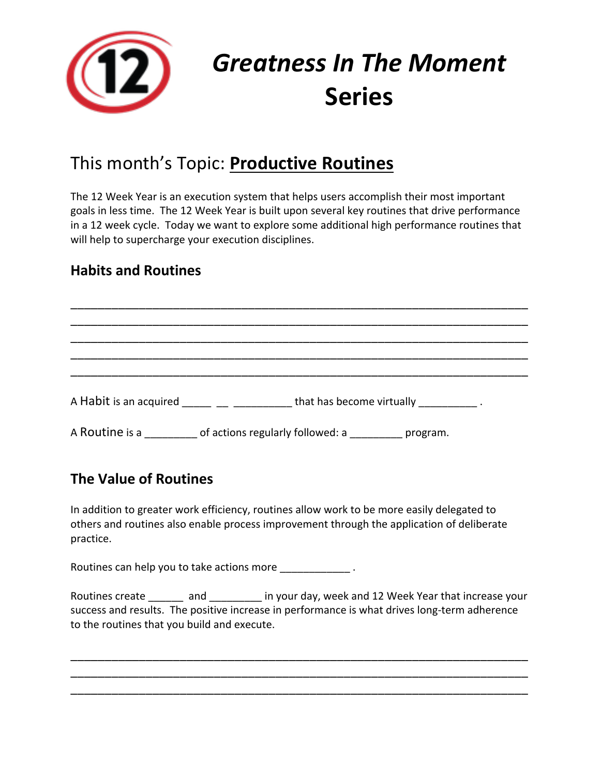

# *Greatness In The Moment* **Series**

# This month's Topic: **Productive Routines**

The 12 Week Year is an execution system that helps users accomplish their most important goals in less time. The 12 Week Year is built upon several key routines that drive performance in a 12 week cycle. Today we want to explore some additional high performance routines that will help to supercharge your execution disciplines.

# **Habits and Routines**

\_\_\_\_\_\_\_\_\_\_\_\_\_\_\_\_\_\_\_\_\_\_\_\_\_\_\_\_\_\_\_\_\_\_\_\_\_\_\_\_\_\_\_\_\_\_\_\_\_\_\_\_\_\_\_\_\_\_\_\_\_\_\_\_\_\_\_ \_\_\_\_\_\_\_\_\_\_\_\_\_\_\_\_\_\_\_\_\_\_\_\_\_\_\_\_\_\_\_\_\_\_\_\_\_\_\_\_\_\_\_\_\_\_\_\_\_\_\_\_\_\_\_\_\_\_\_\_\_\_\_\_\_\_\_ \_\_\_\_\_\_\_\_\_\_\_\_\_\_\_\_\_\_\_\_\_\_\_\_\_\_\_\_\_\_\_\_\_\_\_\_\_\_\_\_\_\_\_\_\_\_\_\_\_\_\_\_\_\_\_\_\_\_\_\_\_\_\_\_\_\_\_ \_\_\_\_\_\_\_\_\_\_\_\_\_\_\_\_\_\_\_\_\_\_\_\_\_\_\_\_\_\_\_\_\_\_\_\_\_\_\_\_\_\_\_\_\_\_\_\_\_\_\_\_\_\_\_\_\_\_\_\_\_\_\_\_\_\_\_ A Habit is an acquired  $\frac{1}{\frac{1}{2}}$   $\frac{1}{2}$   $\frac{1}{2}$   $\frac{1}{2}$  that has become virtually  $\frac{1}{2}$   $\frac{1}{2}$ . A Routine is a contractions regularly followed: a comparison program.

\_\_\_\_\_\_\_\_\_\_\_\_\_\_\_\_\_\_\_\_\_\_\_\_\_\_\_\_\_\_\_\_\_\_\_\_\_\_\_\_\_\_\_\_\_\_\_\_\_\_\_\_\_\_\_\_\_\_\_\_\_\_\_\_\_\_\_

# **The Value of Routines**

In addition to greater work efficiency, routines allow work to be more easily delegated to others and routines also enable process improvement through the application of deliberate practice.

Routines can help you to take actions more  $\blacksquare$ 

Routines create and and in your day, week and 12 Week Year that increase your success and results. The positive increase in performance is what drives long-term adherence to the routines that you build and execute.

\_\_\_\_\_\_\_\_\_\_\_\_\_\_\_\_\_\_\_\_\_\_\_\_\_\_\_\_\_\_\_\_\_\_\_\_\_\_\_\_\_\_\_\_\_\_\_\_\_\_\_\_\_\_\_\_\_\_\_\_\_\_\_\_\_\_\_ \_\_\_\_\_\_\_\_\_\_\_\_\_\_\_\_\_\_\_\_\_\_\_\_\_\_\_\_\_\_\_\_\_\_\_\_\_\_\_\_\_\_\_\_\_\_\_\_\_\_\_\_\_\_\_\_\_\_\_\_\_\_\_\_\_\_\_ \_\_\_\_\_\_\_\_\_\_\_\_\_\_\_\_\_\_\_\_\_\_\_\_\_\_\_\_\_\_\_\_\_\_\_\_\_\_\_\_\_\_\_\_\_\_\_\_\_\_\_\_\_\_\_\_\_\_\_\_\_\_\_\_\_\_\_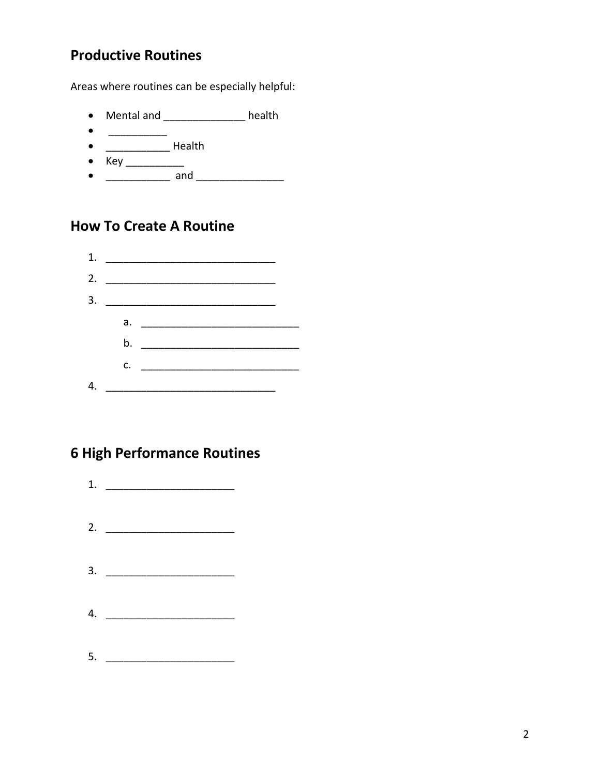### **Productive Routines**

Areas where routines can be especially helpful:

- Mental and \_\_\_\_\_\_\_\_\_\_\_\_\_ health
- $\bullet$
- $\bullet$
- 
- 

#### **How To Create A Routine**



#### **6 High Performance Routines**

 $2.$  $3.$ 4.  $\frac{1}{2}$   $\frac{1}{2}$   $\frac{1}{2}$   $\frac{1}{2}$   $\frac{1}{2}$   $\frac{1}{2}$   $\frac{1}{2}$   $\frac{1}{2}$   $\frac{1}{2}$   $\frac{1}{2}$   $\frac{1}{2}$   $\frac{1}{2}$   $\frac{1}{2}$   $\frac{1}{2}$   $\frac{1}{2}$   $\frac{1}{2}$   $\frac{1}{2}$   $\frac{1}{2}$   $\frac{1}{2}$   $\frac{1}{2}$   $\frac{1}{2}$   $\frac{1}{2}$